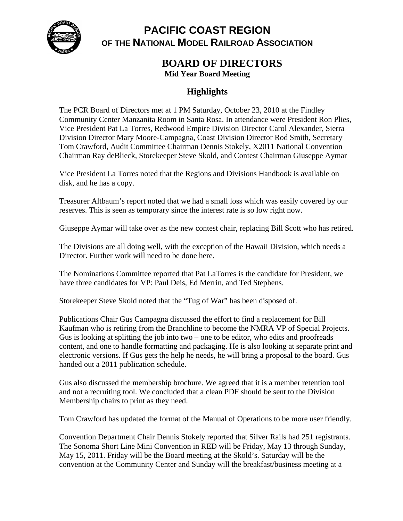

## **PACIFIC COAST REGION OF THE NATIONAL MODEL RAILROAD ASSOCIATION**

## **BOARD OF DIRECTORS**

**Mid Year Board Meeting** 

## **Highlights**

The PCR Board of Directors met at 1 PM Saturday, October 23, 2010 at the Findley Community Center Manzanita Room in Santa Rosa. In attendance were President Ron Plies, Vice President Pat La Torres, Redwood Empire Division Director Carol Alexander, Sierra Division Director Mary Moore-Campagna, Coast Division Director Rod Smith, Secretary Tom Crawford, Audit Committee Chairman Dennis Stokely, X2011 National Convention Chairman Ray deBlieck, Storekeeper Steve Skold, and Contest Chairman Giuseppe Aymar

Vice President La Torres noted that the Regions and Divisions Handbook is available on disk, and he has a copy.

Treasurer Altbaum's report noted that we had a small loss which was easily covered by our reserves. This is seen as temporary since the interest rate is so low right now.

Giuseppe Aymar will take over as the new contest chair, replacing Bill Scott who has retired.

The Divisions are all doing well, with the exception of the Hawaii Division, which needs a Director. Further work will need to be done here.

The Nominations Committee reported that Pat LaTorres is the candidate for President, we have three candidates for VP: Paul Deis, Ed Merrin, and Ted Stephens.

Storekeeper Steve Skold noted that the "Tug of War" has been disposed of.

Publications Chair Gus Campagna discussed the effort to find a replacement for Bill Kaufman who is retiring from the Branchline to become the NMRA VP of Special Projects. Gus is looking at splitting the job into two – one to be editor, who edits and proofreads content, and one to handle formatting and packaging. He is also looking at separate print and electronic versions. If Gus gets the help he needs, he will bring a proposal to the board. Gus handed out a 2011 publication schedule.

Gus also discussed the membership brochure. We agreed that it is a member retention tool and not a recruiting tool. We concluded that a clean PDF should be sent to the Division Membership chairs to print as they need.

Tom Crawford has updated the format of the Manual of Operations to be more user friendly.

Convention Department Chair Dennis Stokely reported that Silver Rails had 251 registrants. The Sonoma Short Line Mini Convention in RED will be Friday, May 13 through Sunday, May 15, 2011. Friday will be the Board meeting at the Skold's. Saturday will be the convention at the Community Center and Sunday will the breakfast/business meeting at a